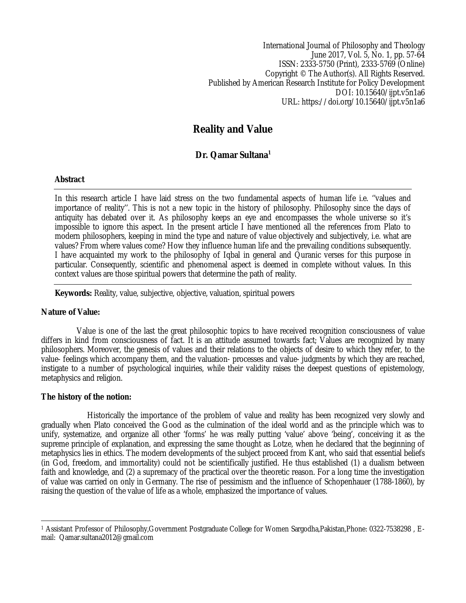International Journal of Philosophy and Theology June 2017, Vol. 5, No. 1, pp. 57-64 ISSN: 2333-5750 (Print), 2333-5769 (Online) Copyright © The Author(s). All Rights Reserved. Published by American Research Institute for Policy Development DOI: 10.15640/ijpt.v5n1a6 URL: https://doi.org/10.15640/ijpt.v5n1a6

# **Reality and Value**

**Dr. Qamar Sultana<sup>1</sup>**

# **Abstract**

In this research article I have laid stress on the two fundamental aspects of human life i.e. ''values and importance of reality''. This is not a new topic in the history of philosophy. Philosophy since the days of antiquity has debated over it. As philosophy keeps an eye and encompasses the whole universe so it's impossible to ignore this aspect. In the present article I have mentioned all the references from Plato to modern philosophers, keeping in mind the type and nature of value objectively and subjectively, i.e. what are values? From where values come? How they influence human life and the prevailing conditions subsequently. I have acquainted my work to the philosophy of Iqbal in general and Quranic verses for this purpose in particular. Consequently, scientific and phenomenal aspect is deemed in complete without values. In this context values are those spiritual powers that determine the path of reality.

**Keywords:** Reality, value, subjective, objective, valuation, spiritual powers

### **Nature of Value:**

 Value is one of the last the great philosophic topics to have received recognition consciousness of value differs in kind from consciousness of fact. It is an attitude assumed towards fact; Values are recognized by many philosophers. Moreover, the genesis of values and their relations to the objects of desire to which they refer, to the value- feelings which accompany them, and the valuation- processes and value- judgments by which they are reached, instigate to a number of psychological inquiries, while their validity raises the deepest questions of epistemology, metaphysics and religion.

### **The history of the notion:**

 Historically the importance of the problem of value and reality has been recognized very slowly and gradually when Plato conceived the Good as the culmination of the ideal world and as the principle which was to unify, systematize, and organize all other 'forms' he was really putting 'value' above 'being', conceiving it as the supreme principle of explanation, and expressing the same thought as Lotze, when he declared that the beginning of metaphysics lies in ethics. The modern developments of the subject proceed from Kant, who said that essential beliefs (in God, freedom, and immortality) could not be scientifically justified. He thus established (1) a dualism between faith and knowledge, and (2) a supremacy of the practical over the theoretic reason. For a long time the investigation of value was carried on only in Germany. The rise of pessimism and the influence of Schopenhauer (1788-1860), by raising the question of the value of life as a whole, emphasized the importance of values.

 $\overline{a}$ <sup>1</sup> Assistant Professor of Philosophy,Government Postgraduate College for Women Sargodha,Pakistan,Phone: 0322-7538298 , Email: Qamar.sultana2012@gmail.com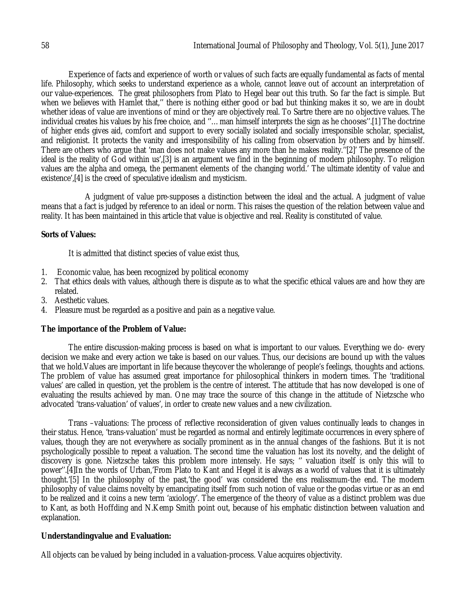Experience of facts and experience of worth or values of such facts are equally fundamental as facts of mental life. Philosophy, which seeks to understand experience as a whole, cannot leave out of account an interpretation of our value-experiences. The great philosophers from Plato to Hegel bear out this truth. So far the fact is simple. But when we believes with Hamlet that,'' there is nothing either good or bad but thinking makes it so, we are in doubt whether ideas of value are inventions of mind or they are objectively real. To Sartre there are no objective values. The individual creates his values by his free choice, and ''…man himself interprets the sign as he chooses''.[1] The doctrine of higher ends gives aid, comfort and support to every socially isolated and socially irresponsible scholar, specialist, and religionist. It protects the vanity and irresponsibility of his calling from observation by others and by himself. There are others who argue that 'man does not make values any more than he makes reality.''[2]' The presence of the ideal is the reality of God within us',[3] is an argument we find in the beginning of modern philosophy. To religion values are the alpha and omega, the permanent elements of the changing world.' The ultimate identity of value and existence',[4] is the creed of speculative idealism and mysticism.

 A judgment of value pre-supposes a distinction between the ideal and the actual. A judgment of value means that a fact is judged by reference to an ideal or norm. This raises the question of the relation between value and reality. It has been maintained in this article that value is objective and real. Reality is constituted of value.

# **Sorts of Values:**

It is admitted that distinct species of value exist thus,

- 1. Economic value, has been recognized by political economy
- 2. That ethics deals with values, although there is dispute as to what the specific ethical values are and how they are related.
- 3. Aesthetic values.
- 4. Pleasure must be regarded as a positive and pain as a negative value.

# **The importance of the Problem of Value:**

The entire discussion-making process is based on what is important to our values. Everything we do- every decision we make and every action we take is based on our values. Thus, our decisions are bound up with the values that we hold.Values are important in life because theycover the wholerange of people's feelings, thoughts and actions. The problem of value has assumed great importance for philosophical thinkers in modern times. The 'traditional values' are called in question, yet the problem is the centre of interest. The attitude that has now developed is one of evaluating the results achieved by man. One may trace the source of this change in the attitude of Nietzsche who advocated 'trans-valuation' of values', in order to create new values and a new civilization.

Trans –valuations: The process of reflective reconsideration of given values continually leads to changes in their status. Hence, 'trans-valuation' must be regarded as normal and entirely legitimate occurrences in every sphere of values, though they are not everywhere as socially prominent as in the annual changes of the fashions. But it is not psychologically possible to repeat a valuation. The second time the valuation has lost its novelty, and the delight of discovery is gone. Nietzsche takes this problem more intensely. He says; '' valuation itself is only this will to power''.[4]In the words of Urban,'From Plato to Kant and Hegel it is always as a world of values that it is ultimately thought.'[5] In the philosophy of the past,'the good' was considered the ens realissmum-the end. The modern philosophy of value claims novelty by emancipating itself from such notion of value or the goodas virtue or as an end to be realized and it coins a new term 'axiology'. The emergence of the theory of value as a distinct problem was due to Kant, as both Hoffding and N.Kemp Smith point out, because of his emphatic distinction between valuation and explanation.

# **Understandingvalue and Evaluation:**

All objects can be valued by being included in a valuation-process. Value acquires objectivity.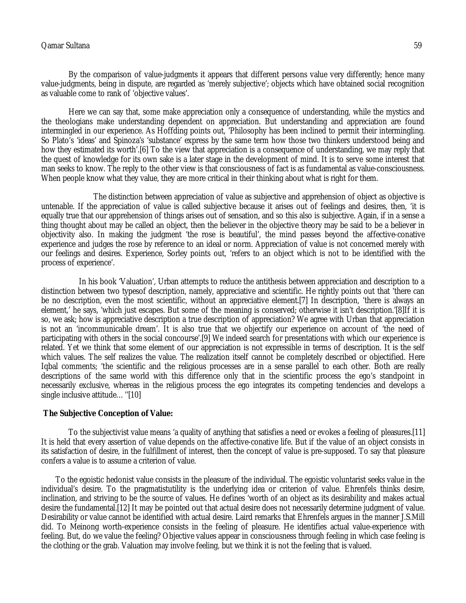# Qamar Sultana 59 September 2008 September 2008 September 2008 September 2008 September 2009 September 2009 Sep

By the comparison of value-judgments it appears that different persons value very differently; hence many value-judgments, being in dispute, are regarded as 'merely subjective'; objects which have obtained social recognition as valuable come to rank of 'objective values'.

Here we can say that, some make appreciation only a consequence of understanding, while the mystics and the theologians make understanding dependent on appreciation. But understanding and appreciation are found intermingled in our experience. As Hoffding points out, 'Philosophy has been inclined to permit their intermingling. So Plato's 'ideas' and Spinoza's 'substance' express by the same term how those two thinkers understood being and how they estimated its worth'.[6] To the view that appreciation is a consequence of understanding, we may reply that the quest of knowledge for its own sake is a later stage in the development of mind. It is to serve some interest that man seeks to know. The reply to the other view is that consciousness of fact is as fundamental as value-consciousness. When people know what they value, they are more critical in their thinking about what is right for them.

 The distinction between appreciation of value as subjective and apprehension of object as objective is untenable. If the appreciation of value is called subjective because it arises out of feelings and desires, then, 'it is equally true that our apprehension of things arises out of sensation, and so this also is subjective. Again, if in a sense a thing thought about may be called an object, then the believer in the objective theory may be said to be a believer in objectivity also. In making the judgment 'the rose is beautiful', the mind passes beyond the affective-conative experience and judges the rose by reference to an ideal or norm. Appreciation of value is not concerned merely with our feelings and desires. Experience, Sorley points out, 'refers to an object which is not to be identified with the process of experience'.

 In his book 'Valuation', Urban attempts to reduce the antithesis between appreciation and description to a distinction between two typesof description, namely, appreciative and scientific. He rightly points out that 'there can be no description, even the most scientific, without an appreciative element.[7] In description, 'there is always an element,' he says, 'which just escapes. But some of the meaning is conserved; otherwise it isn't description.'[8]If it is so, we ask; how is appreciative description a true description of appreciation? We agree with Urban that appreciation is not an 'incommunicable dream'. It is also true that we objectify our experience on account of 'the need of participating with others in the social concourse'.[9] We indeed search for presentations with which our experience is related. Yet we think that some element of our appreciation is not expressible in terms of description. It is the self which values. The self realizes the value. The realization itself cannot be completely described or objectified. Here Iqbal comments; 'the scientific and the religious processes are in a sense parallel to each other. Both are really descriptions of the same world with this difference only that in the scientific process the ego's standpoint in necessarily exclusive, whereas in the religious process the ego integrates its competing tendencies and develops a single inclusive attitude..."[10]

### **The Subjective Conception of Value:**

To the subjectivist value means 'a quality of anything that satisfies a need or evokes a feeling of pleasures.[11] It is held that every assertion of value depends on the affective-conative life. But if the value of an object consists in its satisfaction of desire, in the fulfillment of interest, then the concept of value is pre-supposed. To say that pleasure confers a value is to assume a criterion of value.

 To the egoistic hedonist value consists in the pleasure of the individual. The egoistic voluntarist seeks value in the individual's desire. To the pragmatistutility is the underlying idea or criterion of value. Ehrenfels thinks desire, inclination, and striving to be the source of values. He defines 'worth of an object as its desirability and makes actual desire the fundamental.[12] It may be pointed out that actual desire does not necessarily determine judgment of value. Desirability or value cannot be identified with actual desire. Laird remarks that Ehrenfels argues in the manner J.S.Mill did. To Meinong worth-experience consists in the feeling of pleasure. He identifies actual value-experience with feeling. But, do we value the feeling? Objective values appear in consciousness through feeling in which case feeling is the clothing or the grab. Valuation may involve feeling, but we think it is not the feeling that is valued.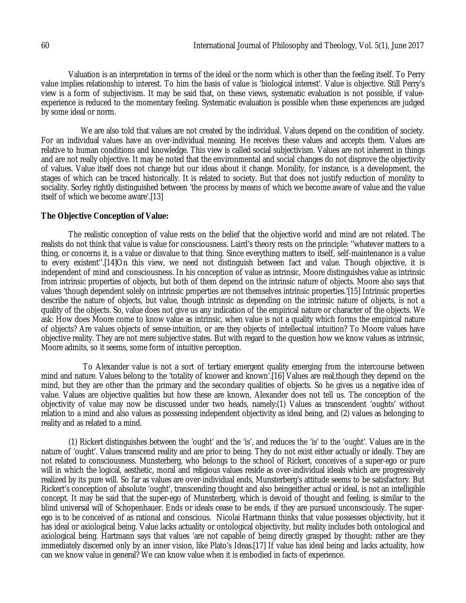Valuation is an interpretation in terms of the ideal or the norm which is other than the feeling itself. To Perry value implies relationship to interest. To him the basis of value is 'biological interest'. Value is objective. Still Perry's view is a form of subjectivism. It may be said that, on these views, systematic evaluation is not possible, if valueexperience is reduced to the momentary feeling. Systematic evaluation is possible when these experiences are judged by some ideal or norm.

We are also told that values are not created by the individual. Values depend on the condition of society. For an individual values have an over-individual meaning. He receives these values and accepts them. Values are relative to human conditions and knowledge. This view is called social subjectivism. Values are not inherent in things and are not really objective. It may be noted that the environmental and social changes do not disprove the objectivity of values. Value itself does not change but our ideas about it change. Morality, for instance, is a development, the stages of which can be traced historically. It is related to society. But that does not justify reduction of morality to sociality. Sorley rightly distinguished between 'the process by means of which we become aware of value and the value itself of which we become aware'.[13]

#### **The Objective Conception of Value:**

The realistic conception of value rests on the belief that the objective world and mind are not related. The realists do not think that value is value for consciousness. Laird's theory rests on the principle: ''whatever matters to a thing, or concerns it, is a value or disvalue to that thing. Since everything matters to itself, self-maintenance is a value to every existent''.[14]On this view, we need not distinguish between fact and value. Though objective, it is independent of mind and consciousness. In his conception of value as intrinsic, Moore distinguishes value as intrinsic from intrinsic properties of objects, but both of them depend on the intrinsic nature of objects. Moore also says that values 'though dependent solely on intrinsic properties are not themselves intrinsic properties.'[15] Intrinsic properties describe the nature of objects, but value, though intrinsic as depending on the intrinsic nature of objects, is not a quality of the objects. So, value does not give us any indication of the empirical nature or character of the objects. We ask: How does Moore come to know value as intrinsic, when value is not a quality which forms the empirical nature of objects? Are values objects of sense-intuition, or are they objects of intellectual intuition? To Moore values have objective reality. They are not mere subjective states. But with regard to the question how we know values as intrinsic, Moore admits, so it seems, some form of intuitive perception.

 To Alexander value is not a sort of tertiary emergent quality emerging from the intercourse between mind and nature. Values belong to the 'totality of knower and known'.[16] Values are real,though they depend on the mind, but they are other than the primary and the secondary qualities of objects. So he gives us a negative idea of value. Values are objective qualities but how these are known, Alexander does not tell us. The conception of the objectivity of value may now be discussed under two heads, namely:(1) Values as transcendent 'oughts' without relation to a mind and also values as possessing independent objectivity as ideal being, and (2) values as belonging to reality and as related to a mind.

(1) Rickert distinguishes between the 'ought' and the 'is', and reduces the 'is' to the 'ought'. Values are in the nature of 'ought'. Values transcend reality and are prior to being. They do not exist either actually or ideally. They are not related to consciousness. Munsterberg, who belongs to the school of Rickert, conceives of a super-ego or pure will in which the logical, aesthetic, moral and religious values reside as over-individual ideals which are progressively realized by its pure will. So far as values are over-individual ends, Munsterberg's attitude seems to be satisfactory. But Rickert's conception of absolute 'ought', transcending thought and also beingeither actual or ideal, is not an intelligible concept. It may be said that the super-ego of Munsterberg, which is devoid of thought and feeling, is similar to the blind universal will of Schopenhauer. Ends or ideals cease to be ends, if they are pursued unconsciously. The superego is to be conceived of as rational and conscious. Nicolai Hartmann thinks that value possesses objectivity, but it has ideal or axiological being. Value lacks actuality or ontological objectivity, but reality includes both ontological and axiological being. Hartmann says that values 'are not capable of being directly grasped by thought: rather are they immediately discerned only by an inner vision, like Plato's Ideas.[17] If value has ideal being and lacks actuality, how can we know value in general? We can know value when it is embodied in facts of experience.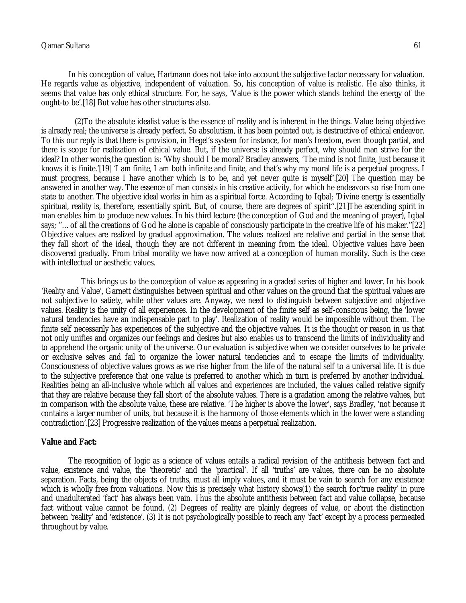# Qamar Sultana 61

In his conception of value, Hartmann does not take into account the subjective factor necessary for valuation. He regards value as objective, independent of valuation. So, his conception of value is realistic. He also thinks, it seems that value has only ethical structure. For, he says, 'Value is the power which stands behind the energy of the ought-to be'.[18] But value has other structures also.

 (2)To the absolute idealist value is the essence of reality and is inherent in the things. Value being objective is already real; the universe is already perfect. So absolutism, it has been pointed out, is destructive of ethical endeavor. To this our reply is that there is provision, in Hegel's system for instance, for man's freedom, even though partial, and there is scope for realization of ethical value. But, if the universe is already perfect, why should man strive for the ideal? In other words,the question is: 'Why should I be moral? Bradley answers, 'The mind is not finite, just because it knows it is finite.'[19] 'I am finite, I am both infinite and finite, and that's why my moral life is a perpetual progress. I must progress, because I have another which is to be, and yet never quite is myself'.[20] The question may be answered in another way. The essence of man consists in his creative activity, for which he endeavors so rise from one state to another. The objective ideal works in him as a spiritual force. According to Iqbal; 'Divine energy is essentially spiritual, reality is, therefore, essentially spirit. But, of course, there are degrees of spirit''.[21]The ascending spirit in man enables him to produce new values. In his third lecture (the conception of God and the meaning of prayer), Iqbal says; ''…of all the creations of God he alone is capable of consciously participate in the creative life of his maker.''[22] Objective values are realized by gradual approximation. The values realized are relative and partial in the sense that they fall short of the ideal, though they are not different in meaning from the ideal. Objective values have been discovered gradually. From tribal morality we have now arrived at a conception of human morality. Such is the case with intellectual or aesthetic values.

 This brings us to the conception of value as appearing in a graded series of higher and lower. In his book 'Reality and Value', Garnett distinguishes between spiritual and other values on the ground that the spiritual values are not subjective to satiety, while other values are. Anyway, we need to distinguish between subjective and objective values. Reality is the unity of all experiences. In the development of the finite self as self-conscious being, the 'lower natural tendencies have an indispensable part to play'. Realization of reality would be impossible without them. The finite self necessarily has experiences of the subjective and the objective values. It is the thought or reason in us that not only unifies and organizes our feelings and desires but also enables us to transcend the limits of individuality and to apprehend the organic unity of the universe. Our evaluation is subjective when we consider ourselves to be private or exclusive selves and fail to organize the lower natural tendencies and to escape the limits of individuality. Consciousness of objective values grows as we rise higher from the life of the natural self to a universal life. It is due to the subjective preference that one value is preferred to another which in turn is preferred by another individual. Realities being an all-inclusive whole which all values and experiences are included, the values called relative signify that they are relative because they fall short of the absolute values. There is a gradation among the relative values, but in comparison with the absolute value, these are relative. 'The higher is above the lower', says Bradley, 'not because it contains a larger number of units, but because it is the harmony of those elements which in the lower were a standing contradiction'.[23] Progressive realization of the values means a perpetual realization.

### **Value and Fact:**

The recognition of logic as a science of values entails a radical revision of the antithesis between fact and value, existence and value, the 'theoretic' and the 'practical'. If all 'truths' are values, there can be no absolute separation. Facts, being the objects of truths, must all imply values, and it must be vain to search for any existence which is wholly free from valuations. Now this is precisely what history shows(1) the search for'true reality' in pure and unadulterated 'fact' has always been vain. Thus the absolute antithesis between fact and value collapse, because fact without value cannot be found. (2) Degrees of reality are plainly degrees of value, or about the distinction between 'reality' and 'existence'. (3) It is not psychologically possible to reach any 'fact' except by a process permeated throughout by value.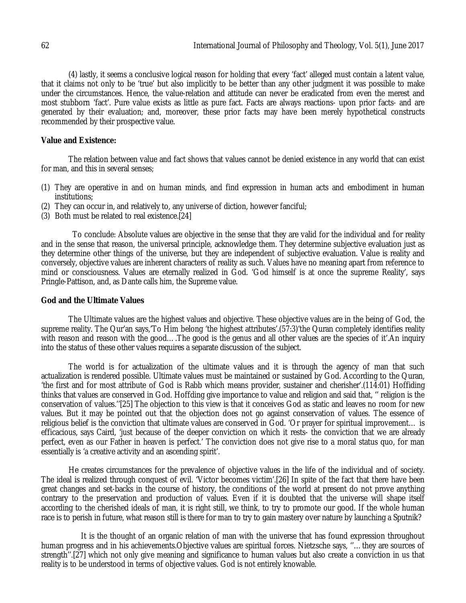(4) lastly, it seems a conclusive logical reason for holding that every 'fact' alleged must contain a latent value, that it claims not only to be 'true' but also implicitly to be better than any other judgment it was possible to make under the circumstances. Hence, the value-relation and attitude can never be eradicated from even the merest and most stubborn 'fact'. Pure value exists as little as pure fact. Facts are always reactions- upon prior facts- and are generated by their evaluation; and, moreover, these prior facts may have been merely hypothetical constructs recommended by their prospective value.

#### **Value and Existence:**

The relation between value and fact shows that values cannot be denied existence in any world that can exist for man, and this in several senses;

- (1) They are operative in and on human minds, and find expression in human acts and embodiment in human institutions;
- (2) They can occur in, and relatively to, any universe of diction, however fanciful;
- (3) Both must be related to real existence.[24]

 To conclude: Absolute values are objective in the sense that they are valid for the individual and for reality and in the sense that reason, the universal principle, acknowledge them. They determine subjective evaluation just as they determine other things of the universe, but they are independent of subjective evaluation. Value is reality and conversely, objective values are inherent characters of reality as such. Values have no meaning apart from reference to mind or consciousness. Values are eternally realized in God. 'God himself is at once the supreme Reality', says Pringle-Pattison, and, as Dante calls him, the Supreme value.

#### **God and the Ultimate Values**

The Ultimate values are the highest values and objective. These objective values are in the being of God, the supreme reality. The Qur'an says,'To Him belong 'the highest attributes'.(57:3)'the Quran completely identifies reality with reason and reason with the good....The good is the genus and all other values are the species of it'.An inquiry into the status of these other values requires a separate discussion of the subject.

The world is for actualization of the ultimate values and it is through the agency of man that such actualization is rendered possible. Ultimate values must be maintained or sustained by God. According to the Quran, 'the first and for most attribute of God is Rabb which means provider, sustainer and cherisher'.(114:01) Hoffiding thinks that values are conserved in God. Hoffding give importance to value and religion and said that, '' religion is the conservation of values.''[25] The objection to this view is that it conceives God as static and leaves no room for new values. But it may be pointed out that the objection does not go against conservation of values. The essence of religious belief is the conviction that ultimate values are conserved in God. 'Or prayer for spiritual improvement… is efficacious, says Caird, 'just because of the deeper conviction on which it rests- the conviction that we are already perfect, even as our Father in heaven is perfect.' The conviction does not give rise to a moral status quo, for man essentially is 'a creative activity and an ascending spirit'.

He creates circumstances for the prevalence of objective values in the life of the individual and of society. The ideal is realized through conquest of evil. 'Victor becomes victim'.[26] In spite of the fact that there have been great changes and set-backs in the course of history, the conditions of the world at present do not prove anything contrary to the preservation and production of values. Even if it is doubted that the universe will shape itself according to the cherished ideals of man, it is right still, we think, to try to promote our good. If the whole human race is to perish in future, what reason still is there for man to try to gain mastery over nature by launching a Sputnik?

 It is the thought of an organic relation of man with the universe that has found expression throughout human progress and in his achievements.Objective values are spiritual forces. Nietzsche says, ''…they are sources of strength''.[27] which not only give meaning and significance to human values but also create a conviction in us that reality is to be understood in terms of objective values. God is not entirely knowable.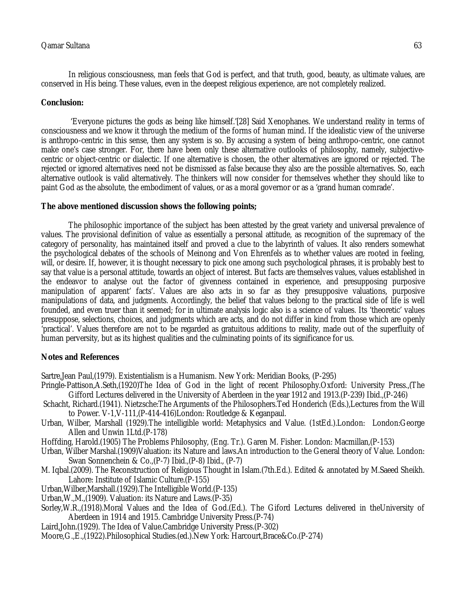In religious consciousness, man feels that God is perfect, and that truth, good, beauty, as ultimate values, are conserved in His being. These values, even in the deepest religious experience, are not completely realized.

### **Conclusion:**

'Everyone pictures the gods as being like himself.'[28] Said Xenophanes. We understand reality in terms of consciousness and we know it through the medium of the forms of human mind. If the idealistic view of the universe is anthropo-centric in this sense, then any system is so. By accusing a system of being anthropo-centric, one cannot make one's case stronger. For, there have been only these alternative outlooks of philosophy, namely, subjectivecentric or object-centric or dialectic. If one alternative is chosen, the other alternatives are ignored or rejected. The rejected or ignored alternatives need not be dismissed as false because they also are the possible alternatives. So, each alternative outlook is valid alternatively. The thinkers will now consider for themselves whether they should like to paint God as the absolute, the embodiment of values, or as a moral governor or as a 'grand human comrade'.

### **The above mentioned discussion shows the following points;**

The philosophic importance of the subject has been attested by the great variety and universal prevalence of values. The provisional definition of value as essentially a personal attitude, as recognition of the supremacy of the category of personality, has maintained itself and proved a clue to the labyrinth of values. It also renders somewhat the psychological debates of the schools of Meinong and Von Ehrenfels as to whether values are rooted in feeling, will, or desire. If, however, it is thought necessary to pick one among such psychological phrases, it is probably best to say that value is a personal attitude, towards an object of interest. But facts are themselves values, values established in the endeavor to analyse out the factor of givenness contained in experience, and presupposing purposive manipulation of apparent' facts'. Values are also acts in so far as they presupposive valuations, purposive manipulations of data, and judgments. Accordingly, the belief that values belong to the practical side of life is well founded, and even truer than it seemed; for in ultimate analysis logic also is a science of values. Its 'theoretic' values presuppose, selections, choices, and judgments which are acts, and do not differ in kind from those which are openly 'practical'. Values therefore are not to be regarded as gratuitous additions to reality, made out of the superfluity of human perversity, but as its highest qualities and the culminating points of its significance for us.

### **Notes and References**

Sartre,Jean Paul,(1979). Existentialism is a Humanism. New York: Meridian Books, (P-295)

- Pringle-Pattison,A.Seth,(1920)The Idea of God in the light of recent Philosophy.Oxford: University Press.,(The Gifford Lectures delivered in the University of Aberdeen in the year 1912 and 1913.(P-239) Ibid.,(P-246)
- Schacht, Richard.(1941). Nietzsche:The Arguments of the Philosophers.Ted Honderich (Eds.),Lectures from the Will to Power. V-1,V-111,(P-414-416)London: Routledge & Keganpaul.
- Urban, Wilber, Marshall (1929).The intelligible world: Metaphysics and Value. (1stEd.).London: London:George Allen and Unwin 1Ltd.(P-178)
- Hoffding, Harold.(1905) The Problems Philosophy, (Eng. Tr.). Garen M. Fisher. London: Macmillan,(P-153)
- Urban, Wilber Marshal.(1909)Valuation: its Nature and laws.An introduction to the General theory of Value. London: Swan Sonnenchein & Co.,(P-7) Ibid.,(P-8) Ibid., (P-7)
- M. Iqbal.(2009). The Reconstruction of Religious Thought in Islam.(7th.Ed.). Edited & annotated by M.Saeed Sheikh. Lahore: Institute of Islamic Culture.(P-155)
- Urban,Wilber,Marshall.(1929).The Intelligible World.(P-135)
- Urban,W.,M.,(1909). Valuation: its Nature and Laws.(P-35)
- Sorley,W.R.,(1918).Moral Values and the Idea of God.(Ed.). The Giford Lectures delivered in theUniversity of Aberdeen in 1914 and 1915. Cambridge University Press.(P-74)
- Laird,John.(1929). The Idea of Value.Cambridge University Press.(P-302)
- Moore,G.,E.,(1922).Philosophical Studies.(ed.).New York: Harcourt,Brace&Co.(P-274)